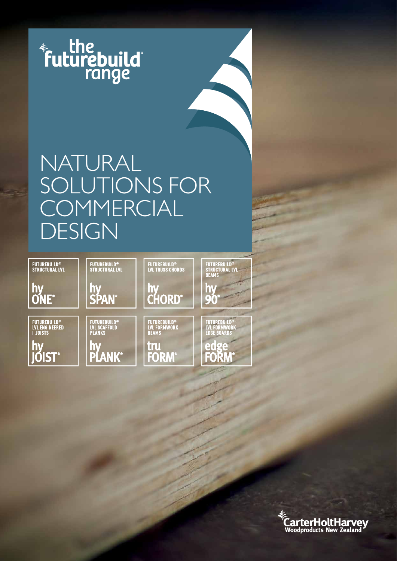**Euturebuild**<br> **Futurebuild**<br>
range

# NATURAL SOLUTIONS FOR **COMMERCIAL** DESIGN



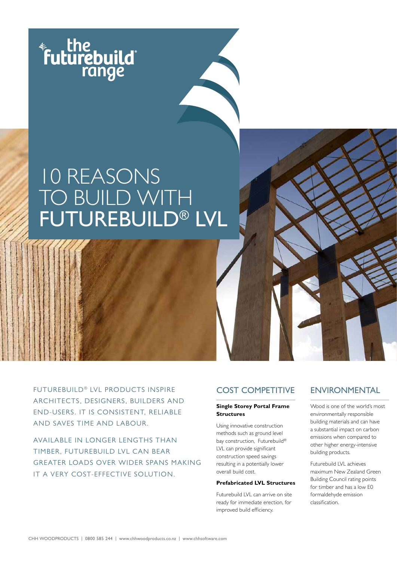the<br>**futurebuild**<br>range

# 10 REASONS TO BUILD WITH FUTUREBUILD® LVL

FUTUREBUILD® LVL PRODUCTS INSPIRE ARCHITECTS, DESIGNERS, BUILDERS AND END-USERS. IT IS CONSISTENT, RELIABLE AND SAVES TIME AND LABOUR.

AVAILABLE IN LONGER LENGTHS THAN TIMBER, FUTUREBUILD LVL CAN BEAR GREATER LOADS OVER WIDER SPANS MAKING IT A VERY COST-EFFECTIVE SOLUTION.

## COST COMPETITIVE

#### **Single Storey Portal Frame Structures**

Using innovative construction methods such as ground level bay construction, Futurebuild® LVL can provide significant construction speed savings resulting in a potentially lower overall build cost.

#### **Prefabricated LVL Structures**

Futurebuild LVL can arrive on site ready for immediate erection, for improved build efficiency.

## ENVIRONMENTAL

Wood is one of the world's most environmentally responsible building materials and can have a substantial impact on carbon emissions when compared to other higher energy-intensive building products.

Futurebuild LVL achieves maximum New Zealand Green Building Council rating points for timber and has a low E0 formaldehyde emission classification.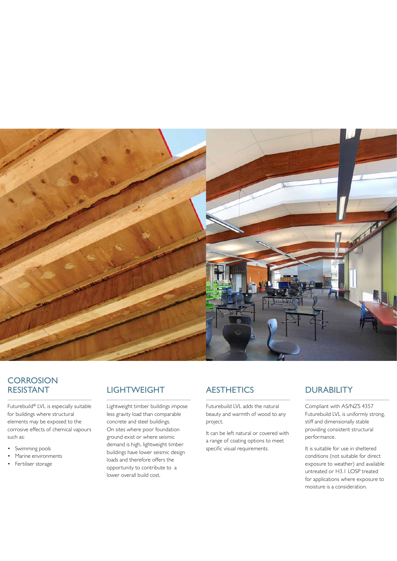

### **CORROSION** RESISTANT

Futurebuild® LVL is especially suitable for buildings where structural elements may be exposed to the corrosive effects of chemical vapours such as:

- Swimming pools
- Marine environments
- Fertiliser storage

## **LIGHTWEIGHT**

Lightweight timber buildings impose less gravity load than comparable concrete and steel buildings. On sites where poor foundation ground exist or where seismic demand is high, lightweight timber buildings have lower seismic design loads and therefore offers the opportunity to contribute to a lower overall build cost.

## **AESTHETICS**

Futurebuild LVL adds the natural beauty and warmth of wood to any project.

It can be left natural or covered with a range of coating options to meet specific visual requirements.

## **DURABILITY**

Compliant with AS/NZS 4357 Futurebuild LVL is uniformly strong, stiff and dimensionally stable providing consistent structural performance.

It is suitable for use in sheltered conditions (not suitable for direct exposure to weather) and available untreated or H3.1 LOSP treated for applications where exposure to moisture is a consideration.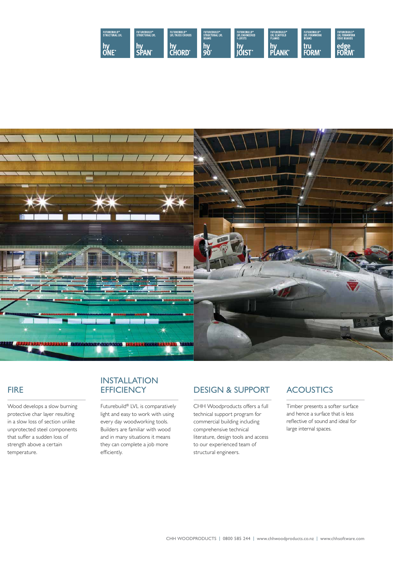



### **FIRE**

Wood develops a slow burning protective char layer resulting in a slow loss of section unlike unprotected steel components that suffer a sudden loss of strength above a certain temperature.

### INSTALLATION **EFFICIENCY**

Futurebuild® LVL is comparatively light and easy to work with using every day woodworking tools. Builders are familiar with wood and in many situations it means they can complete a job more efficiently.

## DESIGN & SUPPORT

CHH Woodproducts offers a full technical support program for commercial building including comprehensive technical literature, design tools and access to our experienced team of structural engineers.

## **ACOUSTICS**

Timber presents a softer surface and hence a surface that is less reflective of sound and ideal for large internal spaces.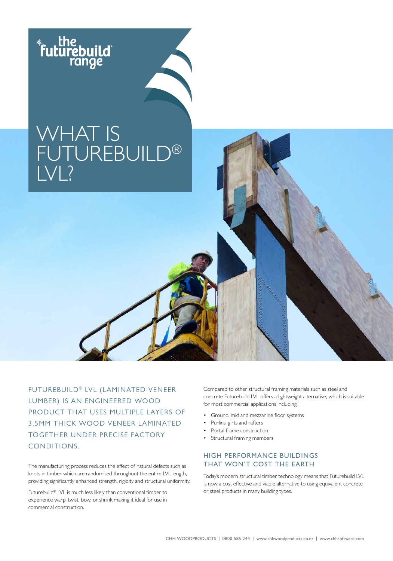

# WHAT IS FUTUREBUILD® LVL?

FUTUREBUILD® LVL (LAMINATED VENEER LUMBER) IS AN ENGINEERED WOOD PRODUCT THAT USES MULTIPLE LAYERS OF 3.5MM THICK WOOD VENEER LAMINATED TOGETHER UNDER PRECISE FACTORY CONDITIONS.

The manufacturing process reduces the effect of natural defects such as knots in timber which are randomised throughout the entire LVL length, providing significantly enhanced strength, rigidity and structural uniformity.

Futurebuild® LVL is much less likely than conventional timber to experience warp, twist, bow, or shrink making it ideal for use in commercial construction.

Compared to other structural framing materials such as steel and concrete Futurebuild LVL offers a lightweight alternative, which is suitable for most commercial applications including:

- Ground, mid and mezzanine floor systems
- Purlins, girts and rafters
- Portal frame construction
- Structural framing members

#### HIGH PERFORMANCE BUILDINGS THAT WON'T COST THE EARTH

Today's modern structural timber technology means that Futurebuild LVL is now a cost effective and viable alternative to using equivalent concrete or steel products in many building types.